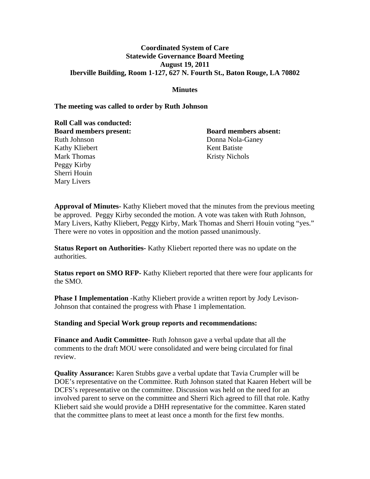## **Coordinated System of Care Statewide Governance Board Meeting August 19, 2011 Iberville Building, Room 1-127, 627 N. Fourth St., Baton Rouge, LA 70802**

#### **Minutes**

#### **The meeting was called to order by Ruth Johnson**

**Roll Call was conducted: Board members present: Board members absent:** Ruth Johnson Donna Nola-Ganey Kathy Kliebert Kent Batiste Mark Thomas Kristy Nichols Peggy Kirby Sherri Houin Mary Livers

**Approval of Minutes-** Kathy Kliebert moved that the minutes from the previous meeting be approved. Peggy Kirby seconded the motion. A vote was taken with Ruth Johnson, Mary Livers, Kathy Kliebert, Peggy Kirby, Mark Thomas and Sherri Houin voting "yes." There were no votes in opposition and the motion passed unanimously.

**Status Report on Authorities-** Kathy Kliebert reported there was no update on the authorities.

**Status report on SMO RFP-** Kathy Kliebert reported that there were four applicants for the SMO.

**Phase I Implementation** -Kathy Kliebert provide a written report by Jody Levison-Johnson that contained the progress with Phase 1 implementation.

**Standing and Special Work group reports and recommendations:** 

**Finance and Audit Committee-** Ruth Johnson gave a verbal update that all the comments to the draft MOU were consolidated and were being circulated for final review.

**Quality Assurance:** Karen Stubbs gave a verbal update that Tavia Crumpler will be DOE's representative on the Committee. Ruth Johnson stated that Kaaren Hebert will be DCFS's representative on the committee. Discussion was held on the need for an involved parent to serve on the committee and Sherri Rich agreed to fill that role. Kathy Kliebert said she would provide a DHH representative for the committee. Karen stated that the committee plans to meet at least once a month for the first few months.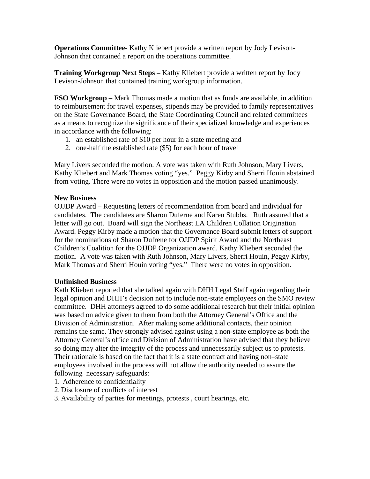**Operations Committee-** Kathy Kliebert provide a written report by Jody Levison-Johnson that contained a report on the operations committee.

**Training Workgroup Next Steps –** Kathy Kliebert provide a written report by Jody Levison-Johnson that contained training workgroup information.

**FSO Workgroup** – Mark Thomas made a motion that as funds are available, in addition to reimbursement for travel expenses, stipends may be provided to family representatives on the State Governance Board, the State Coordinating Council and related committees as a means to recognize the significance of their specialized knowledge and experiences in accordance with the following:

- 1. an established rate of \$10 per hour in a state meeting and
- 2. one-half the established rate (\$5) for each hour of travel

Mary Livers seconded the motion. A vote was taken with Ruth Johnson, Mary Livers, Kathy Kliebert and Mark Thomas voting "yes." Peggy Kirby and Sherri Houin abstained from voting. There were no votes in opposition and the motion passed unanimously.

# **New Business**

OJJDP Award – Requesting letters of recommendation from board and individual for candidates. The candidates are Sharon Duferne and Karen Stubbs. Ruth assured that a letter will go out. Board will sign the Northeast LA Children Collation Origination Award. Peggy Kirby made a motion that the Governance Board submit letters of support for the nominations of Sharon Dufrene for OJJDP Spirit Award and the Northeast Children's Coalition for the OJJDP Organization award. Kathy Kliebert seconded the motion. A vote was taken with Ruth Johnson, Mary Livers, Sherri Houin, Peggy Kirby, Mark Thomas and Sherri Houin voting "yes." There were no votes in opposition.

## **Unfinished Business**

Kath Kliebert reported that she talked again with DHH Legal Staff again regarding their legal opinion and DHH's decision not to include non-state employees on the SMO review committee. DHH attorneys agreed to do some additional research but their initial opinion was based on advice given to them from both the Attorney General's Office and the Division of Administration. After making some additional contacts, their opinion remains the same. They strongly advised against using a non-state employee as both the Attorney General's office and Division of Administration have advised that they believe so doing may alter the integrity of the process and unnecessarily subject us to protests. Their rationale is based on the fact that it is a state contract and having non–state employees involved in the process will not allow the authority needed to assure the following necessary safeguards:

- 1. Adherence to confidentiality
- 2. Disclosure of conflicts of interest
- 3. Availability of parties for meetings, protests , court hearings, etc.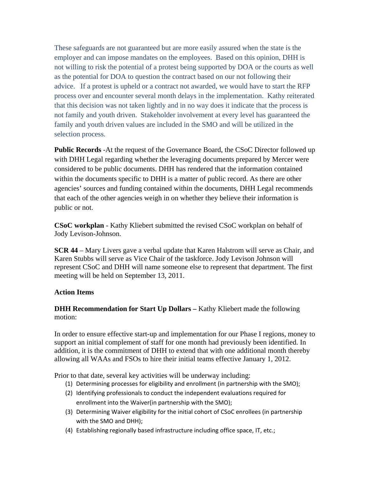These safeguards are not guaranteed but are more easily assured when the state is the employer and can impose mandates on the employees. Based on this opinion, DHH is not willing to risk the potential of a protest being supported by DOA or the courts as well as the potential for DOA to question the contract based on our not following their advice. If a protest is upheld or a contract not awarded, we would have to start the RFP process over and encounter several month delays in the implementation. Kathy reiterated that this decision was not taken lightly and in no way does it indicate that the process is not family and youth driven. Stakeholder involvement at every level has guaranteed the family and youth driven values are included in the SMO and will be utilized in the selection process.

**Public Records** -At the request of the Governance Board, the CSoC Director followed up with DHH Legal regarding whether the leveraging documents prepared by Mercer were considered to be public documents. DHH has rendered that the information contained within the documents specific to DHH is a matter of public record. As there are other agencies' sources and funding contained within the documents, DHH Legal recommends that each of the other agencies weigh in on whether they believe their information is public or not.

**CSoC workplan** - Kathy Kliebert submitted the revised CSoC workplan on behalf of Jody Levison-Johnson.

**SCR 44** – Mary Livers gave a verbal update that Karen Halstrom will serve as Chair, and Karen Stubbs will serve as Vice Chair of the taskforce. Jody Levison Johnson will represent CSoC and DHH will name someone else to represent that department. The first meeting will be held on September 13, 2011.

## **Action Items**

# **DHH Recommendation for Start Up Dollars – Kathy Kliebert made the following** motion:

In order to ensure effective start-up and implementation for our Phase I regions, money to support an initial complement of staff for one month had previously been identified. In addition, it is the commitment of DHH to extend that with one additional month thereby allowing all WAAs and FSOs to hire their initial teams effective January 1, 2012.

Prior to that date, several key activities will be underway including:

- (1) Determining processes for eligibility and enrollment (in partnership with the SMO);
- (2) Identifying professionals to conduct the independent evaluations required for enrollment into the Waiver(in partnership with the SMO);
- (3) Determining Waiver eligibility for the initial cohort of CSoC enrollees (in partnership with the SMO and DHH);
- (4) Establishing regionally based infrastructure including office space, IT, etc.;